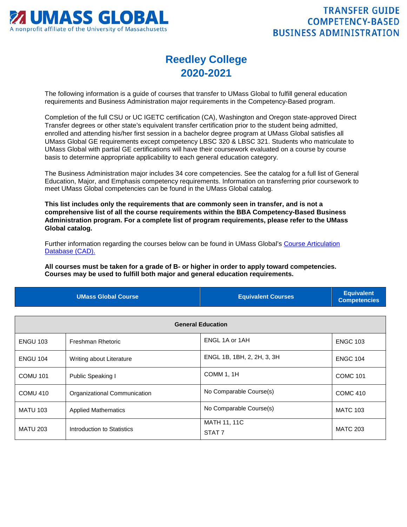

## **Reedley College 2020-2021**

The following information is a guide of courses that transfer to UMass Global to fulfill general education requirements and Business Administration major requirements in the Competency-Based program.

Completion of the full CSU or UC IGETC certification (CA), Washington and Oregon state-approved Direct Transfer degrees or other state's equivalent transfer certification prior to the student being admitted, enrolled and attending his/her first session in a bachelor degree program at UMass Global satisfies all UMass Global GE requirements except competency LBSC 320 & LBSC 321. Students who matriculate to UMass Global with partial GE certifications will have their coursework evaluated on a course by course basis to determine appropriate applicability to each general education category.

The Business Administration major includes 34 core competencies. See the catalog for a full list of General Education, Major, and Emphasis competency requirements. Information on transferring prior coursework to meet UMass Global competencies can be found in the UMass Global catalog.

**This list includes only the requirements that are commonly seen in transfer, and is not a comprehensive list of all the course requirements within the BBA Competency-Based Business Administration program. For a complete list of program requirements, please refer to the UMass Global catalog.**

Further information regarding the courses below can be found in UMass Global's [Course Articulation](http://services.umassglobal.edu/studentservices/TransferCredit/)  [Database \(CAD\).](http://services.umassglobal.edu/studentservices/TransferCredit/) 

**All courses must be taken for a grade of B- or higher in order to apply toward competencies. Courses may be used to fulfill both major and general education requirements.** 

| <b>UMass Global Course</b> | <b>Equivalent Courses</b> | <b>Equivalent</b><br>Competencies |
|----------------------------|---------------------------|-----------------------------------|
|                            |                           |                                   |

| <b>General Education</b> |                              |                                   |                 |
|--------------------------|------------------------------|-----------------------------------|-----------------|
| <b>ENGU 103</b>          | Freshman Rhetoric            | ENGL 1A or 1AH                    | <b>ENGC 103</b> |
| <b>ENGU 104</b>          | Writing about Literature     | ENGL 1B, 1BH, 2, 2H, 3, 3H        | <b>ENGC 104</b> |
| <b>COMU 101</b>          | Public Speaking I            | COMM 1, 1H                        | <b>COMC 101</b> |
| COMU 410                 | Organizational Communication | No Comparable Course(s)           | <b>COMC 410</b> |
| <b>MATU 103</b>          | <b>Applied Mathematics</b>   | No Comparable Course(s)           | <b>MATC 103</b> |
| <b>MATU 203</b>          | Introduction to Statistics   | MATH 11, 11C<br>STAT <sub>7</sub> | <b>MATC 203</b> |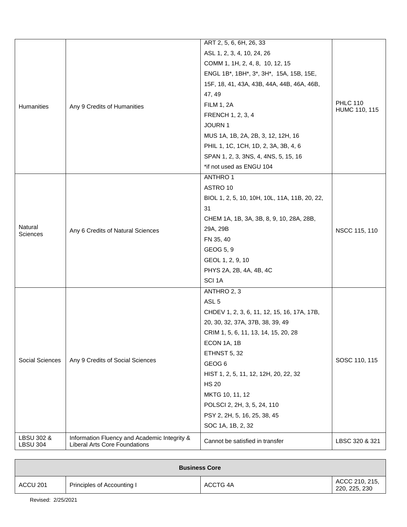|                               |                                                                                      | ART 2, 5, 6, 6H, 26, 33                       |                                  |
|-------------------------------|--------------------------------------------------------------------------------------|-----------------------------------------------|----------------------------------|
|                               |                                                                                      | ASL 1, 2, 3, 4, 10, 24, 26                    |                                  |
|                               |                                                                                      | COMM 1, 1H, 2, 4, 8, 10, 12, 15               |                                  |
|                               |                                                                                      | ENGL 1B*, 1BH*, 3*, 3H*, 15A, 15B, 15E,       |                                  |
|                               |                                                                                      | 15F, 18, 41, 43A, 43B, 44A, 44B, 46A, 46B,    | <b>PHLC 110</b><br>HUMC 110, 115 |
|                               |                                                                                      | 47, 49                                        |                                  |
| Humanities                    | Any 9 Credits of Humanities                                                          | <b>FILM 1, 2A</b>                             |                                  |
|                               |                                                                                      | FRENCH 1, 2, 3, 4                             |                                  |
|                               |                                                                                      | JOURN 1                                       |                                  |
|                               |                                                                                      | MUS 1A, 1B, 2A, 2B, 3, 12, 12H, 16            |                                  |
|                               |                                                                                      | PHIL 1, 1C, 1CH, 1D, 2, 3A, 3B, 4, 6          |                                  |
|                               |                                                                                      | SPAN 1, 2, 3, 3NS, 4, 4NS, 5, 15, 16          |                                  |
|                               |                                                                                      | *if not used as ENGU 104                      |                                  |
|                               |                                                                                      | <b>ANTHRO1</b>                                |                                  |
|                               |                                                                                      | ASTRO 10                                      |                                  |
|                               |                                                                                      | BIOL 1, 2, 5, 10, 10H, 10L, 11A, 11B, 20, 22, |                                  |
|                               |                                                                                      | 31                                            |                                  |
|                               |                                                                                      | CHEM 1A, 1B, 3A, 3B, 8, 9, 10, 28A, 28B,      |                                  |
| Natural<br>Sciences           | Any 6 Credits of Natural Sciences                                                    | 29A, 29B                                      | NSCC 115, 110                    |
|                               |                                                                                      | FN 35, 40                                     |                                  |
|                               |                                                                                      | GEOG 5, 9                                     |                                  |
|                               |                                                                                      | GEOL 1, 2, 9, 10                              |                                  |
|                               |                                                                                      | PHYS 2A, 2B, 4A, 4B, 4C                       |                                  |
|                               |                                                                                      | SCI <sub>1A</sub>                             |                                  |
|                               |                                                                                      | ANTHRO 2, 3                                   |                                  |
|                               |                                                                                      | ASL <sub>5</sub>                              |                                  |
|                               |                                                                                      | CHDEV 1, 2, 3, 6, 11, 12, 15, 16, 17A, 17B,   |                                  |
|                               |                                                                                      | 20, 30, 32, 37A, 37B, 38, 39, 49              |                                  |
|                               |                                                                                      | CRIM 1, 5, 6, 11, 13, 14, 15, 20, 28          |                                  |
|                               |                                                                                      | ECON 1A, 1B                                   |                                  |
|                               | Any 9 Credits of Social Sciences                                                     | ETHNST 5, 32                                  | SOSC 110, 115                    |
| Social Sciences               |                                                                                      | GEOG <sub>6</sub>                             |                                  |
|                               |                                                                                      | HIST 1, 2, 5, 11, 12, 12H, 20, 22, 32         |                                  |
|                               |                                                                                      | <b>HS 20</b>                                  |                                  |
|                               |                                                                                      | MKTG 10, 11, 12                               |                                  |
|                               |                                                                                      | POLSCI 2, 2H, 3, 5, 24, 110                   |                                  |
|                               |                                                                                      | PSY 2, 2H, 5, 16, 25, 38, 45                  |                                  |
|                               |                                                                                      | SOC 1A, 1B, 2, 32                             |                                  |
| LBSU 302 &<br><b>LBSU 304</b> | Information Fluency and Academic Integrity &<br><b>Liberal Arts Core Foundations</b> | Cannot be satisfied in transfer               | LBSC 320 & 321                   |

| <b>Business Core</b> |                            |          |                                 |
|----------------------|----------------------------|----------|---------------------------------|
| ACCU 201             | Principles of Accounting I | ACCTG 4A | ACCC 210, 215,<br>220, 225, 230 |